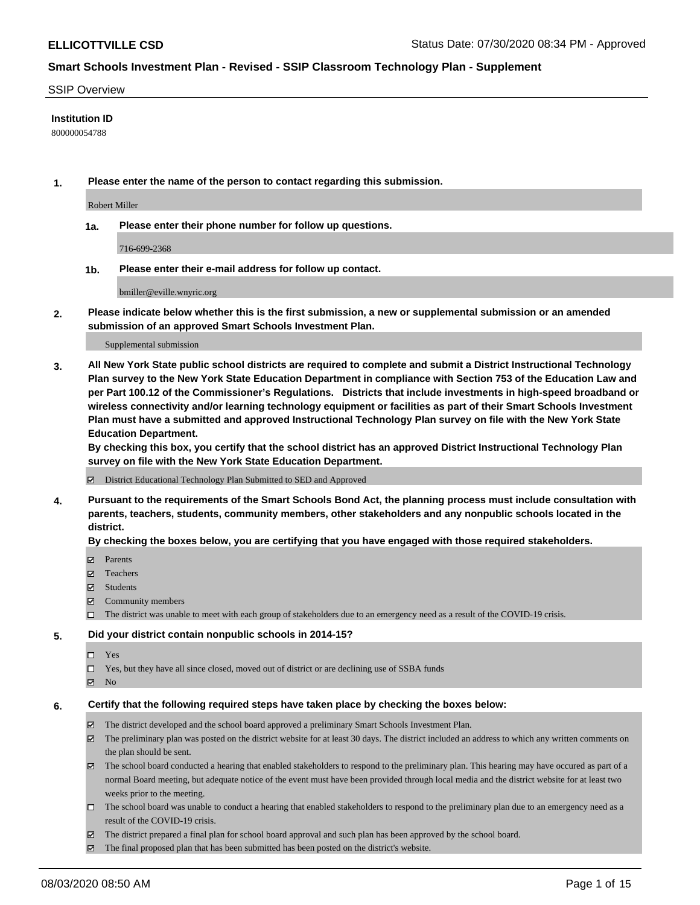#### SSIP Overview

#### **Institution ID**

800000054788

**1. Please enter the name of the person to contact regarding this submission.**

Robert Miller

**1a. Please enter their phone number for follow up questions.**

716-699-2368

**1b. Please enter their e-mail address for follow up contact.**

bmiller@eville.wnyric.org

**2. Please indicate below whether this is the first submission, a new or supplemental submission or an amended submission of an approved Smart Schools Investment Plan.**

#### Supplemental submission

**3. All New York State public school districts are required to complete and submit a District Instructional Technology Plan survey to the New York State Education Department in compliance with Section 753 of the Education Law and per Part 100.12 of the Commissioner's Regulations. Districts that include investments in high-speed broadband or wireless connectivity and/or learning technology equipment or facilities as part of their Smart Schools Investment Plan must have a submitted and approved Instructional Technology Plan survey on file with the New York State Education Department.** 

**By checking this box, you certify that the school district has an approved District Instructional Technology Plan survey on file with the New York State Education Department.**

District Educational Technology Plan Submitted to SED and Approved

**4. Pursuant to the requirements of the Smart Schools Bond Act, the planning process must include consultation with parents, teachers, students, community members, other stakeholders and any nonpublic schools located in the district.** 

#### **By checking the boxes below, you are certifying that you have engaged with those required stakeholders.**

- **Parents**
- Teachers
- Students
- $\boxtimes$  Community members
- The district was unable to meet with each group of stakeholders due to an emergency need as a result of the COVID-19 crisis.

#### **5. Did your district contain nonpublic schools in 2014-15?**

- $\neg$  Yes
- Yes, but they have all since closed, moved out of district or are declining use of SSBA funds
- **Z** No

#### **6. Certify that the following required steps have taken place by checking the boxes below:**

- The district developed and the school board approved a preliminary Smart Schools Investment Plan.
- $\boxtimes$  The preliminary plan was posted on the district website for at least 30 days. The district included an address to which any written comments on the plan should be sent.
- The school board conducted a hearing that enabled stakeholders to respond to the preliminary plan. This hearing may have occured as part of a normal Board meeting, but adequate notice of the event must have been provided through local media and the district website for at least two weeks prior to the meeting.
- The school board was unable to conduct a hearing that enabled stakeholders to respond to the preliminary plan due to an emergency need as a result of the COVID-19 crisis.
- The district prepared a final plan for school board approval and such plan has been approved by the school board.
- $\boxtimes$  The final proposed plan that has been submitted has been posted on the district's website.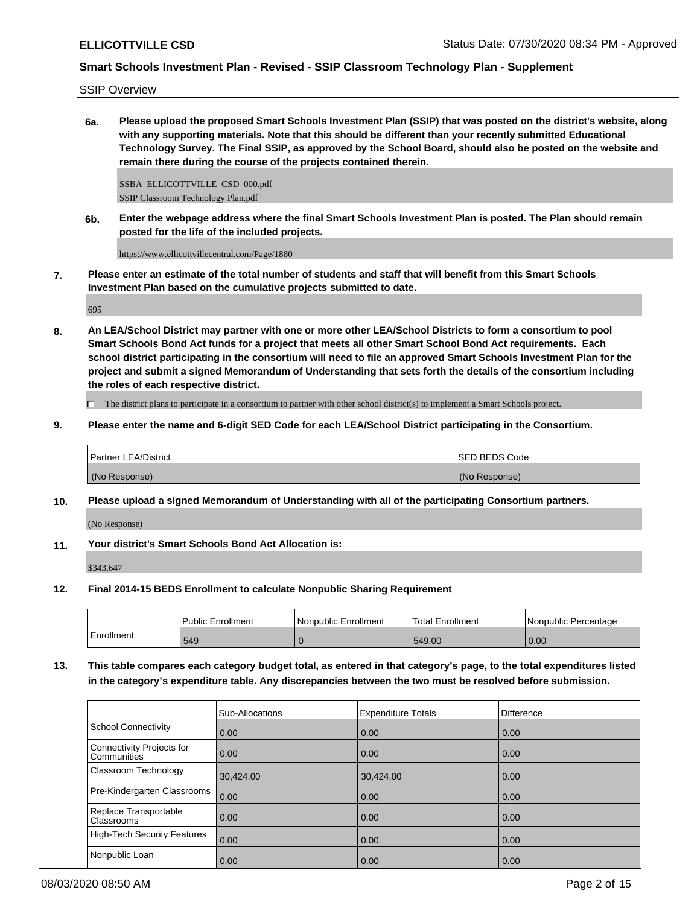SSIP Overview

**6a. Please upload the proposed Smart Schools Investment Plan (SSIP) that was posted on the district's website, along with any supporting materials. Note that this should be different than your recently submitted Educational Technology Survey. The Final SSIP, as approved by the School Board, should also be posted on the website and remain there during the course of the projects contained therein.**

SSBA\_ELLICOTTVILLE\_CSD\_000.pdf SSIP Classroom Technology Plan.pdf

**6b. Enter the webpage address where the final Smart Schools Investment Plan is posted. The Plan should remain posted for the life of the included projects.**

https://www.ellicottvillecentral.com/Page/1880

**7. Please enter an estimate of the total number of students and staff that will benefit from this Smart Schools Investment Plan based on the cumulative projects submitted to date.**

695

**8. An LEA/School District may partner with one or more other LEA/School Districts to form a consortium to pool Smart Schools Bond Act funds for a project that meets all other Smart School Bond Act requirements. Each school district participating in the consortium will need to file an approved Smart Schools Investment Plan for the project and submit a signed Memorandum of Understanding that sets forth the details of the consortium including the roles of each respective district.**

 $\Box$  The district plans to participate in a consortium to partner with other school district(s) to implement a Smart Schools project.

**9. Please enter the name and 6-digit SED Code for each LEA/School District participating in the Consortium.**

| <b>Partner LEA/District</b> | <b>ISED BEDS Code</b> |
|-----------------------------|-----------------------|
| (No Response)               | (No Response)         |

**10. Please upload a signed Memorandum of Understanding with all of the participating Consortium partners.**

(No Response)

**11. Your district's Smart Schools Bond Act Allocation is:**

\$343,647

**12. Final 2014-15 BEDS Enrollment to calculate Nonpublic Sharing Requirement**

|            | Public Enrollment | Nonpublic Enrollment | <b>Total Enrollment</b> | l Nonpublic Percentage |
|------------|-------------------|----------------------|-------------------------|------------------------|
| Enrollment | 549               |                      | 549.00                  | 0.00                   |

**13. This table compares each category budget total, as entered in that category's page, to the total expenditures listed in the category's expenditure table. Any discrepancies between the two must be resolved before submission.**

|                                                 | Sub-Allocations   | <b>Expenditure Totals</b> | <b>Difference</b> |
|-------------------------------------------------|-------------------|---------------------------|-------------------|
| School Connectivity                             | 0.00              | 0.00                      | 0.00              |
| Connectivity Projects for<br><b>Communities</b> | $\overline{0.00}$ | 0.00                      | 0.00              |
| <b>Classroom Technology</b>                     | 30,424.00         | 30,424.00                 | 0.00              |
| Pre-Kindergarten Classrooms                     | 0.00              | 0.00                      | 0.00              |
| Replace Transportable<br><b>Classrooms</b>      | $\overline{0.00}$ | 0.00                      | 0.00              |
| High-Tech Security Features                     | $\overline{0.00}$ | 0.00                      | 0.00              |
| Nonpublic Loan                                  | 0.00              | 0.00                      | 0.00              |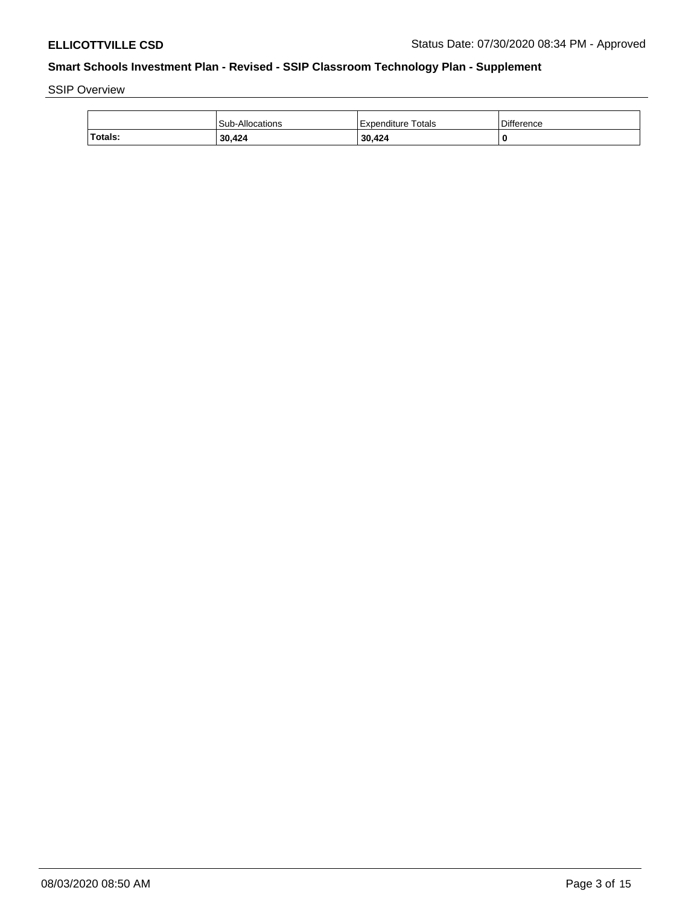SSIP Overview

|         | Sub-Allocations | Expenditure Totals | <b>Difference</b> |
|---------|-----------------|--------------------|-------------------|
| Totals: | 30,424          | 30.424             |                   |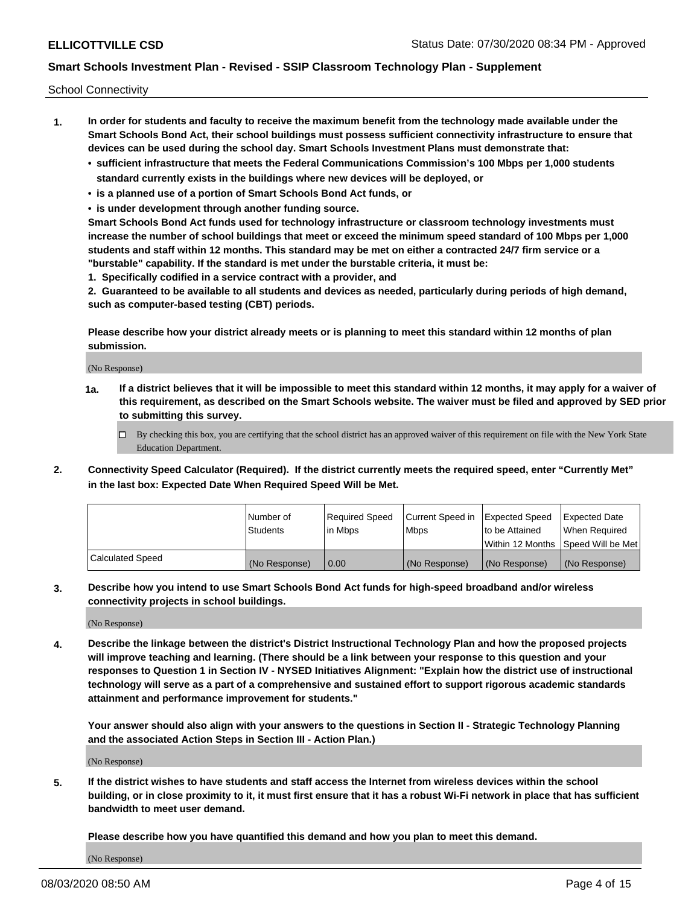School Connectivity

- **1. In order for students and faculty to receive the maximum benefit from the technology made available under the Smart Schools Bond Act, their school buildings must possess sufficient connectivity infrastructure to ensure that devices can be used during the school day. Smart Schools Investment Plans must demonstrate that:**
	- **• sufficient infrastructure that meets the Federal Communications Commission's 100 Mbps per 1,000 students standard currently exists in the buildings where new devices will be deployed, or**
	- **• is a planned use of a portion of Smart Schools Bond Act funds, or**
	- **• is under development through another funding source.**

**Smart Schools Bond Act funds used for technology infrastructure or classroom technology investments must increase the number of school buildings that meet or exceed the minimum speed standard of 100 Mbps per 1,000 students and staff within 12 months. This standard may be met on either a contracted 24/7 firm service or a "burstable" capability. If the standard is met under the burstable criteria, it must be:**

**1. Specifically codified in a service contract with a provider, and**

**2. Guaranteed to be available to all students and devices as needed, particularly during periods of high demand, such as computer-based testing (CBT) periods.**

**Please describe how your district already meets or is planning to meet this standard within 12 months of plan submission.**

(No Response)

**1a. If a district believes that it will be impossible to meet this standard within 12 months, it may apply for a waiver of this requirement, as described on the Smart Schools website. The waiver must be filed and approved by SED prior to submitting this survey.**

 $\Box$  By checking this box, you are certifying that the school district has an approved waiver of this requirement on file with the New York State Education Department.

**2. Connectivity Speed Calculator (Required). If the district currently meets the required speed, enter "Currently Met" in the last box: Expected Date When Required Speed Will be Met.**

|                  | l Number of     | Required Speed | Current Speed in | Expected Speed | Expected Date                           |
|------------------|-----------------|----------------|------------------|----------------|-----------------------------------------|
|                  | <b>Students</b> | In Mbps        | l Mbps           | to be Attained | When Required                           |
|                  |                 |                |                  |                | l Within 12 Months ISpeed Will be Met l |
| Calculated Speed | (No Response)   | 0.00           | (No Response)    | (No Response)  | (No Response)                           |

**3. Describe how you intend to use Smart Schools Bond Act funds for high-speed broadband and/or wireless connectivity projects in school buildings.**

(No Response)

**4. Describe the linkage between the district's District Instructional Technology Plan and how the proposed projects will improve teaching and learning. (There should be a link between your response to this question and your responses to Question 1 in Section IV - NYSED Initiatives Alignment: "Explain how the district use of instructional technology will serve as a part of a comprehensive and sustained effort to support rigorous academic standards attainment and performance improvement for students."** 

**Your answer should also align with your answers to the questions in Section II - Strategic Technology Planning and the associated Action Steps in Section III - Action Plan.)**

(No Response)

**5. If the district wishes to have students and staff access the Internet from wireless devices within the school building, or in close proximity to it, it must first ensure that it has a robust Wi-Fi network in place that has sufficient bandwidth to meet user demand.**

**Please describe how you have quantified this demand and how you plan to meet this demand.**

(No Response)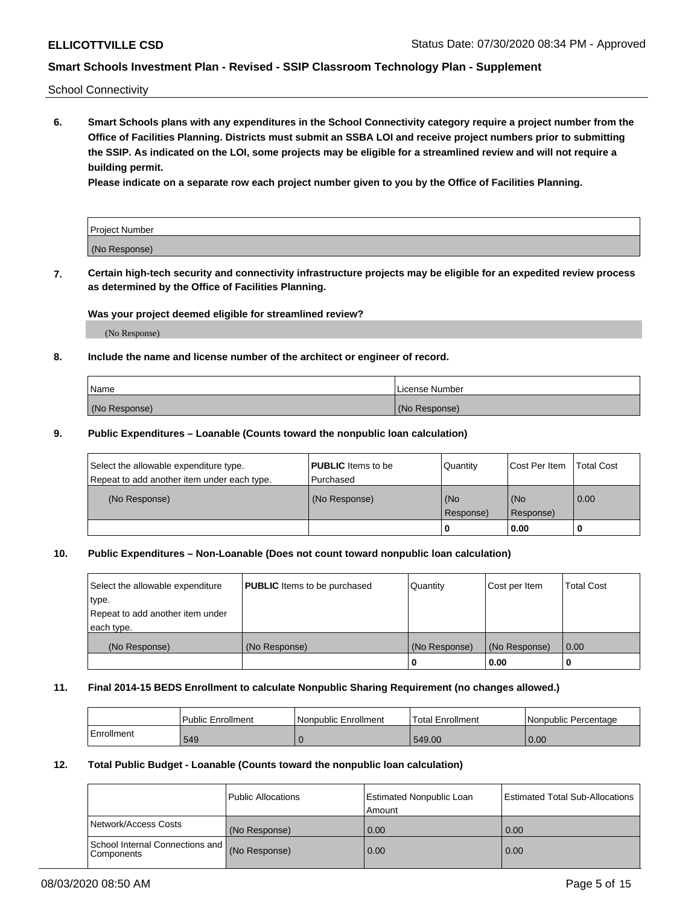School Connectivity

**6. Smart Schools plans with any expenditures in the School Connectivity category require a project number from the Office of Facilities Planning. Districts must submit an SSBA LOI and receive project numbers prior to submitting the SSIP. As indicated on the LOI, some projects may be eligible for a streamlined review and will not require a building permit.**

**Please indicate on a separate row each project number given to you by the Office of Facilities Planning.**

| Project Number |  |
|----------------|--|
| (No Response)  |  |

**7. Certain high-tech security and connectivity infrastructure projects may be eligible for an expedited review process as determined by the Office of Facilities Planning.**

#### **Was your project deemed eligible for streamlined review?**

(No Response)

### **8. Include the name and license number of the architect or engineer of record.**

| Name          | License Number |
|---------------|----------------|
| (No Response) | (No Response)  |

#### **9. Public Expenditures – Loanable (Counts toward the nonpublic loan calculation)**

| Select the allowable expenditure type.<br>Repeat to add another item under each type. | <b>PUBLIC</b> Items to be<br>l Purchased | Quantity           | Cost Per Item    | <b>Total Cost</b> |
|---------------------------------------------------------------------------------------|------------------------------------------|--------------------|------------------|-------------------|
| (No Response)                                                                         | (No Response)                            | l (No<br>Response) | (No<br>Response) | $\overline{0.00}$ |
|                                                                                       |                                          | O                  | 0.00             |                   |

### **10. Public Expenditures – Non-Loanable (Does not count toward nonpublic loan calculation)**

| Select the allowable expenditure<br>type.<br>Repeat to add another item under<br>each type. | <b>PUBLIC</b> Items to be purchased | Quantity      | Cost per Item | <b>Total Cost</b> |
|---------------------------------------------------------------------------------------------|-------------------------------------|---------------|---------------|-------------------|
| (No Response)                                                                               | (No Response)                       | (No Response) | (No Response) | 0.00              |
|                                                                                             |                                     |               | 0.00          |                   |

#### **11. Final 2014-15 BEDS Enrollment to calculate Nonpublic Sharing Requirement (no changes allowed.)**

|            | Public Enrollment | l Nonpublic Enrollment | <b>Total Enrollment</b> | Nonpublic Percentage |
|------------|-------------------|------------------------|-------------------------|----------------------|
| Enrollment | 549               |                        | 549.00                  | 0.00                 |

### **12. Total Public Budget - Loanable (Counts toward the nonpublic loan calculation)**

|                                               | Public Allocations | <b>Estimated Nonpublic Loan</b><br>Amount | Estimated Total Sub-Allocations |
|-----------------------------------------------|--------------------|-------------------------------------------|---------------------------------|
| Network/Access Costs                          | (No Response)      | 0.00                                      | 0.00                            |
| School Internal Connections and<br>Components | (No Response)      | 0.00                                      | 0.00                            |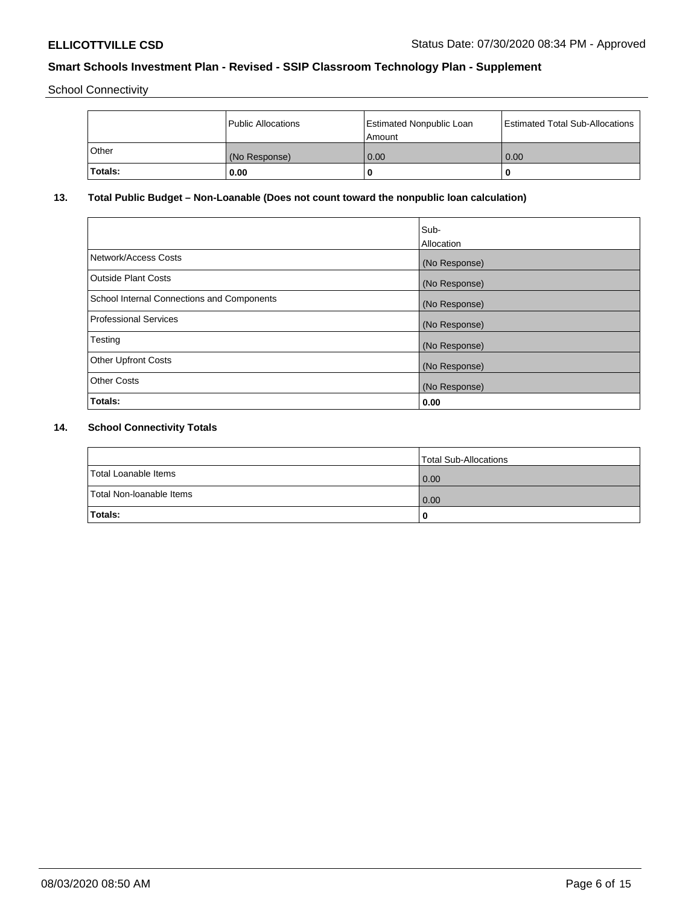School Connectivity

|         | Public Allocations | Estimated Nonpublic Loan<br>l Amount i | Estimated Total Sub-Allocations |
|---------|--------------------|----------------------------------------|---------------------------------|
| l Other | (No Response)      | 0.00                                   | 0.00                            |
| Totals: | 0.00               | 0                                      | 0                               |

# **13. Total Public Budget – Non-Loanable (Does not count toward the nonpublic loan calculation)**

|                                                   | Sub-<br>Allocation |
|---------------------------------------------------|--------------------|
|                                                   |                    |
| Network/Access Costs                              | (No Response)      |
| <b>Outside Plant Costs</b>                        | (No Response)      |
| <b>School Internal Connections and Components</b> | (No Response)      |
| Professional Services                             | (No Response)      |
| Testing                                           | (No Response)      |
| <b>Other Upfront Costs</b>                        | (No Response)      |
| <b>Other Costs</b>                                | (No Response)      |
| <b>Totals:</b>                                    | 0.00               |

# **14. School Connectivity Totals**

|                          | Total Sub-Allocations |
|--------------------------|-----------------------|
| Total Loanable Items     | 0.00                  |
| Total Non-Ioanable Items | 0.00                  |
| Totals:                  | 0                     |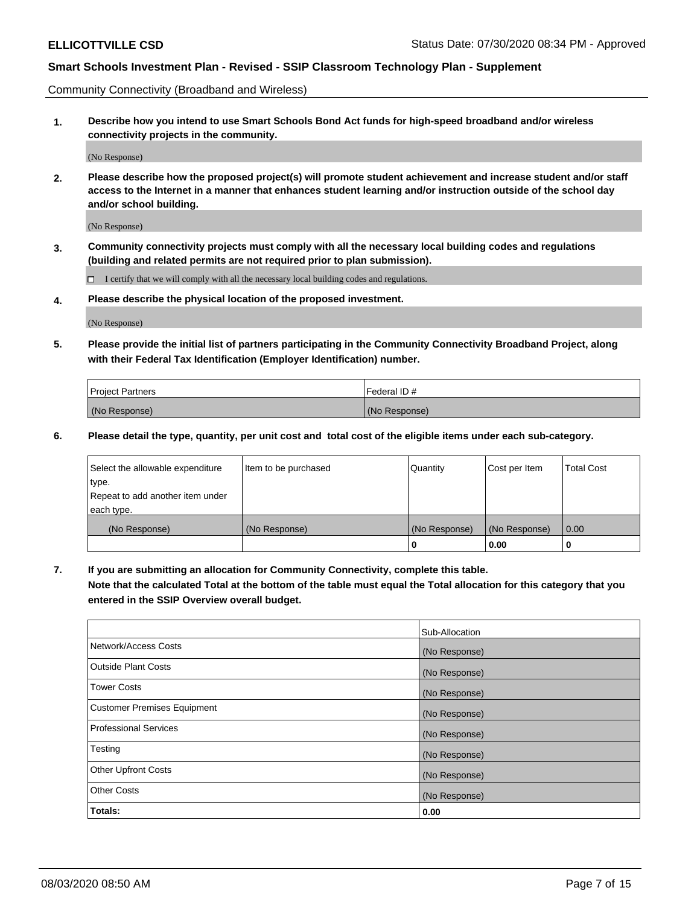Community Connectivity (Broadband and Wireless)

**1. Describe how you intend to use Smart Schools Bond Act funds for high-speed broadband and/or wireless connectivity projects in the community.**

(No Response)

**2. Please describe how the proposed project(s) will promote student achievement and increase student and/or staff access to the Internet in a manner that enhances student learning and/or instruction outside of the school day and/or school building.**

(No Response)

**3. Community connectivity projects must comply with all the necessary local building codes and regulations (building and related permits are not required prior to plan submission).**

 $\Box$  I certify that we will comply with all the necessary local building codes and regulations.

**4. Please describe the physical location of the proposed investment.**

(No Response)

**5. Please provide the initial list of partners participating in the Community Connectivity Broadband Project, along with their Federal Tax Identification (Employer Identification) number.**

| <b>Project Partners</b> | l Federal ID # |
|-------------------------|----------------|
| (No Response)           | (No Response)  |

**6. Please detail the type, quantity, per unit cost and total cost of the eligible items under each sub-category.**

| Select the allowable expenditure | Item to be purchased | Quantity      | Cost per Item | <b>Total Cost</b> |
|----------------------------------|----------------------|---------------|---------------|-------------------|
| type.                            |                      |               |               |                   |
| Repeat to add another item under |                      |               |               |                   |
| each type.                       |                      |               |               |                   |
| (No Response)                    | (No Response)        | (No Response) | (No Response) | 0.00              |
|                                  |                      | o             | 0.00          |                   |

**7. If you are submitting an allocation for Community Connectivity, complete this table.**

**Note that the calculated Total at the bottom of the table must equal the Total allocation for this category that you entered in the SSIP Overview overall budget.**

|                                    | Sub-Allocation |
|------------------------------------|----------------|
| Network/Access Costs               | (No Response)  |
| Outside Plant Costs                | (No Response)  |
| <b>Tower Costs</b>                 | (No Response)  |
| <b>Customer Premises Equipment</b> | (No Response)  |
| <b>Professional Services</b>       | (No Response)  |
| Testing                            | (No Response)  |
| <b>Other Upfront Costs</b>         | (No Response)  |
| <b>Other Costs</b>                 | (No Response)  |
| Totals:                            | 0.00           |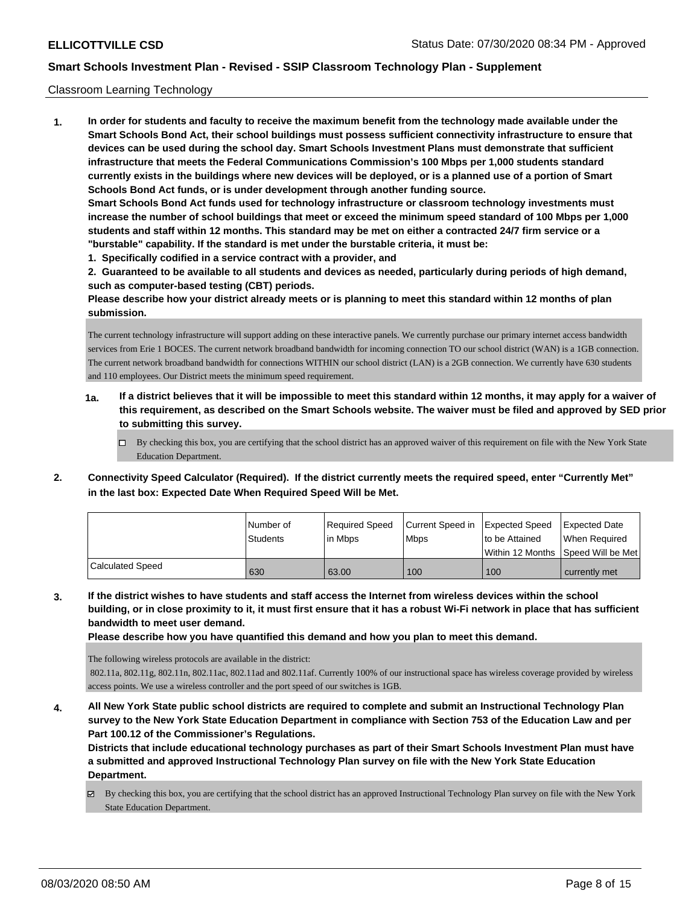### Classroom Learning Technology

**1. In order for students and faculty to receive the maximum benefit from the technology made available under the Smart Schools Bond Act, their school buildings must possess sufficient connectivity infrastructure to ensure that devices can be used during the school day. Smart Schools Investment Plans must demonstrate that sufficient infrastructure that meets the Federal Communications Commission's 100 Mbps per 1,000 students standard currently exists in the buildings where new devices will be deployed, or is a planned use of a portion of Smart Schools Bond Act funds, or is under development through another funding source. Smart Schools Bond Act funds used for technology infrastructure or classroom technology investments must increase the number of school buildings that meet or exceed the minimum speed standard of 100 Mbps per 1,000 students and staff within 12 months. This standard may be met on either a contracted 24/7 firm service or a "burstable" capability. If the standard is met under the burstable criteria, it must be:**

**1. Specifically codified in a service contract with a provider, and**

**2. Guaranteed to be available to all students and devices as needed, particularly during periods of high demand, such as computer-based testing (CBT) periods.**

**Please describe how your district already meets or is planning to meet this standard within 12 months of plan submission.**

The current technology infrastructure will support adding on these interactive panels. We currently purchase our primary internet access bandwidth services from Erie 1 BOCES. The current network broadband bandwidth for incoming connection TO our school district (WAN) is a 1GB connection. The current network broadband bandwidth for connections WITHIN our school district (LAN) is a 2GB connection. We currently have 630 students and 110 employees. Our District meets the minimum speed requirement.

- **1a. If a district believes that it will be impossible to meet this standard within 12 months, it may apply for a waiver of this requirement, as described on the Smart Schools website. The waiver must be filed and approved by SED prior to submitting this survey.**
	- By checking this box, you are certifying that the school district has an approved waiver of this requirement on file with the New York State Education Department.
- **2. Connectivity Speed Calculator (Required). If the district currently meets the required speed, enter "Currently Met" in the last box: Expected Date When Required Speed Will be Met.**

|                  | l Number of     | Required Speed | Current Speed in Expected Speed | to be Attained                       | <b>Expected Date</b> |
|------------------|-----------------|----------------|---------------------------------|--------------------------------------|----------------------|
|                  | <b>Students</b> | lin Mbps       | <b>Mbps</b>                     | Within 12 Months 1Speed Will be Met1 | When Required        |
| Calculated Speed | 630             | 63.00          | 100                             | 100                                  | currently met        |

**3. If the district wishes to have students and staff access the Internet from wireless devices within the school building, or in close proximity to it, it must first ensure that it has a robust Wi-Fi network in place that has sufficient bandwidth to meet user demand.**

**Please describe how you have quantified this demand and how you plan to meet this demand.**

The following wireless protocols are available in the district:

 802.11a, 802.11g, 802.11n, 802.11ac, 802.11ad and 802.11af. Currently 100% of our instructional space has wireless coverage provided by wireless access points. We use a wireless controller and the port speed of our switches is 1GB.

**4. All New York State public school districts are required to complete and submit an Instructional Technology Plan survey to the New York State Education Department in compliance with Section 753 of the Education Law and per Part 100.12 of the Commissioner's Regulations.**

**Districts that include educational technology purchases as part of their Smart Schools Investment Plan must have a submitted and approved Instructional Technology Plan survey on file with the New York State Education Department.**

 $\boxtimes$  By checking this box, you are certifying that the school district has an approved Instructional Technology Plan survey on file with the New York State Education Department.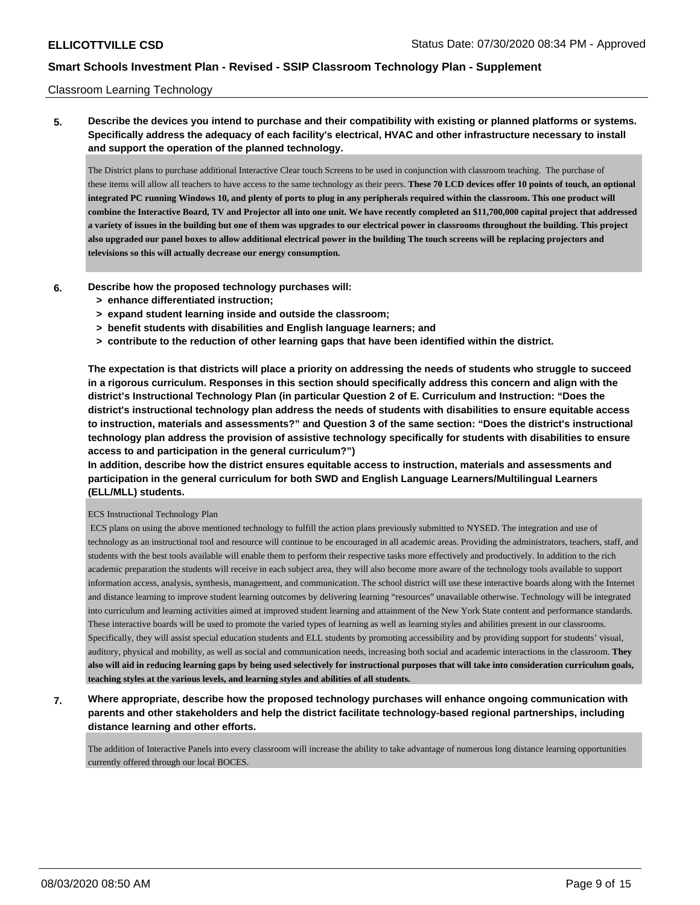### Classroom Learning Technology

**5. Describe the devices you intend to purchase and their compatibility with existing or planned platforms or systems. Specifically address the adequacy of each facility's electrical, HVAC and other infrastructure necessary to install and support the operation of the planned technology.**

The District plans to purchase additional Interactive Clear touch Screens to be used in conjunction with classroom teaching. The purchase of these items will allow all teachers to have access to the same technology as their peers. **These 70 LCD devices offer 10 points of touch, an optional integrated PC running Windows 10, and plenty of ports to plug in any peripherals required within the classroom. This one product will combine the Interactive Board, TV and Projector all into one unit. We have recently completed an \$11,700,000 capital project that addressed a variety of issues in the building but one of them was upgrades to our electrical power in classrooms throughout the building. This project also upgraded our panel boxes to allow additional electrical power in the building The touch screens will be replacing projectors and televisions so this will actually decrease our energy consumption.** 

- **6. Describe how the proposed technology purchases will:**
	- **> enhance differentiated instruction;**
	- **> expand student learning inside and outside the classroom;**
	- **> benefit students with disabilities and English language learners; and**
	- **> contribute to the reduction of other learning gaps that have been identified within the district.**

**The expectation is that districts will place a priority on addressing the needs of students who struggle to succeed in a rigorous curriculum. Responses in this section should specifically address this concern and align with the district's Instructional Technology Plan (in particular Question 2 of E. Curriculum and Instruction: "Does the district's instructional technology plan address the needs of students with disabilities to ensure equitable access to instruction, materials and assessments?" and Question 3 of the same section: "Does the district's instructional technology plan address the provision of assistive technology specifically for students with disabilities to ensure access to and participation in the general curriculum?")**

**In addition, describe how the district ensures equitable access to instruction, materials and assessments and participation in the general curriculum for both SWD and English Language Learners/Multilingual Learners (ELL/MLL) students.**

#### ECS Instructional Technology Plan

 ECS plans on using the above mentioned technology to fulfill the action plans previously submitted to NYSED. The integration and use of technology as an instructional tool and resource will continue to be encouraged in all academic areas. Providing the administrators, teachers, staff, and students with the best tools available will enable them to perform their respective tasks more effectively and productively. In addition to the rich academic preparation the students will receive in each subject area, they will also become more aware of the technology tools available to support information access, analysis, synthesis, management, and communication. The school district will use these interactive boards along with the Internet and distance learning to improve student learning outcomes by delivering learning "resources" unavailable otherwise. Technology will be integrated into curriculum and learning activities aimed at improved student learning and attainment of the New York State content and performance standards. These interactive boards will be used to promote the varied types of learning as well as learning styles and abilities present in our classrooms. Specifically, they will assist special education students and ELL students by promoting accessibility and by providing support for students' visual, auditory, physical and mobility, as well as social and communication needs, increasing both social and academic interactions in the classroom. **They also will aid in reducing learning gaps by being used selectively for instructional purposes that will take into consideration curriculum goals, teaching styles at the various levels, and learning styles and abilities of all students.**

**7. Where appropriate, describe how the proposed technology purchases will enhance ongoing communication with parents and other stakeholders and help the district facilitate technology-based regional partnerships, including distance learning and other efforts.**

The addition of Interactive Panels into every classroom will increase the ability to take advantage of numerous long distance learning opportunities currently offered through our local BOCES.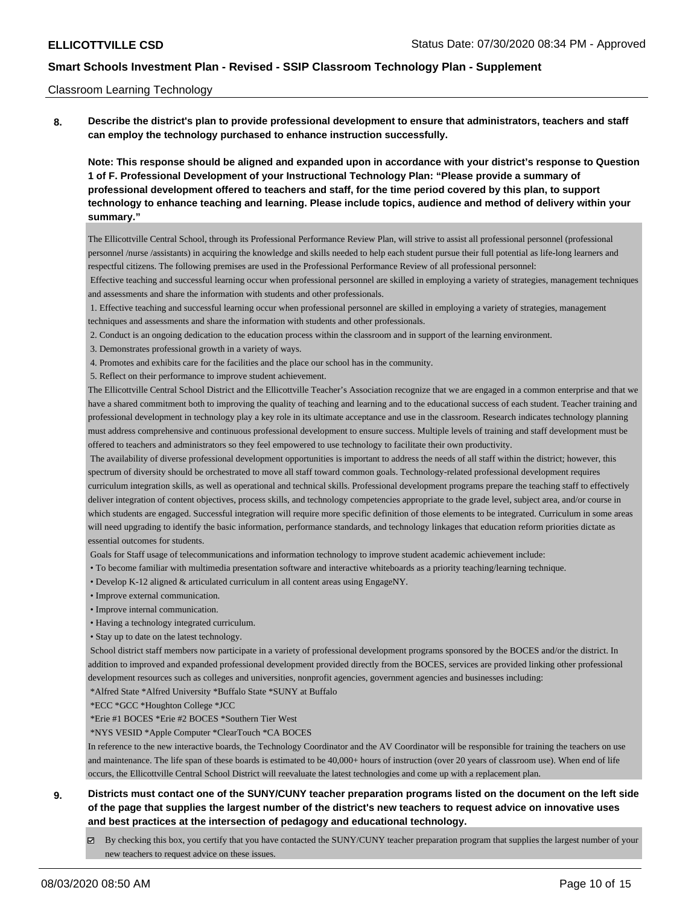#### Classroom Learning Technology

**8. Describe the district's plan to provide professional development to ensure that administrators, teachers and staff can employ the technology purchased to enhance instruction successfully.**

**Note: This response should be aligned and expanded upon in accordance with your district's response to Question 1 of F. Professional Development of your Instructional Technology Plan: "Please provide a summary of professional development offered to teachers and staff, for the time period covered by this plan, to support technology to enhance teaching and learning. Please include topics, audience and method of delivery within your summary."**

The Ellicottville Central School, through its Professional Performance Review Plan, will strive to assist all professional personnel (professional personnel /nurse /assistants) in acquiring the knowledge and skills needed to help each student pursue their full potential as life-long learners and respectful citizens. The following premises are used in the Professional Performance Review of all professional personnel:

 Effective teaching and successful learning occur when professional personnel are skilled in employing a variety of strategies, management techniques and assessments and share the information with students and other professionals.

 1. Effective teaching and successful learning occur when professional personnel are skilled in employing a variety of strategies, management techniques and assessments and share the information with students and other professionals.

2. Conduct is an ongoing dedication to the education process within the classroom and in support of the learning environment.

3. Demonstrates professional growth in a variety of ways.

4. Promotes and exhibits care for the facilities and the place our school has in the community.

5. Reflect on their performance to improve student achievement.

The Ellicottville Central School District and the Ellicottville Teacher's Association recognize that we are engaged in a common enterprise and that we have a shared commitment both to improving the quality of teaching and learning and to the educational success of each student. Teacher training and professional development in technology play a key role in its ultimate acceptance and use in the classroom. Research indicates technology planning must address comprehensive and continuous professional development to ensure success. Multiple levels of training and staff development must be offered to teachers and administrators so they feel empowered to use technology to facilitate their own productivity.

 The availability of diverse professional development opportunities is important to address the needs of all staff within the district; however, this spectrum of diversity should be orchestrated to move all staff toward common goals. Technology-related professional development requires curriculum integration skills, as well as operational and technical skills. Professional development programs prepare the teaching staff to effectively deliver integration of content objectives, process skills, and technology competencies appropriate to the grade level, subject area, and/or course in which students are engaged. Successful integration will require more specific definition of those elements to be integrated. Curriculum in some areas will need upgrading to identify the basic information, performance standards, and technology linkages that education reform priorities dictate as essential outcomes for students.

Goals for Staff usage of telecommunications and information technology to improve student academic achievement include:

• To become familiar with multimedia presentation software and interactive whiteboards as a priority teaching/learning technique.

• Develop K-12 aligned & articulated curriculum in all content areas using EngageNY.

• Improve external communication.

- Improve internal communication.
- Having a technology integrated curriculum.
- Stay up to date on the latest technology.

 School district staff members now participate in a variety of professional development programs sponsored by the BOCES and/or the district. In addition to improved and expanded professional development provided directly from the BOCES, services are provided linking other professional development resources such as colleges and universities, nonprofit agencies, government agencies and businesses including:

\*Alfred State \*Alfred University \*Buffalo State \*SUNY at Buffalo

\*ECC \*GCC \*Houghton College \*JCC

\*Erie #1 BOCES \*Erie #2 BOCES \*Southern Tier West

\*NYS VESID \*Apple Computer \*ClearTouch \*CA BOCES

In reference to the new interactive boards, the Technology Coordinator and the AV Coordinator will be responsible for training the teachers on use and maintenance. The life span of these boards is estimated to be 40,000+ hours of instruction (over 20 years of classroom use). When end of life occurs, the Ellicottville Central School District will reevaluate the latest technologies and come up with a replacement plan.

# **9. Districts must contact one of the SUNY/CUNY teacher preparation programs listed on the document on the left side of the page that supplies the largest number of the district's new teachers to request advice on innovative uses and best practices at the intersection of pedagogy and educational technology.**

By checking this box, you certify that you have contacted the SUNY/CUNY teacher preparation program that supplies the largest number of your new teachers to request advice on these issues.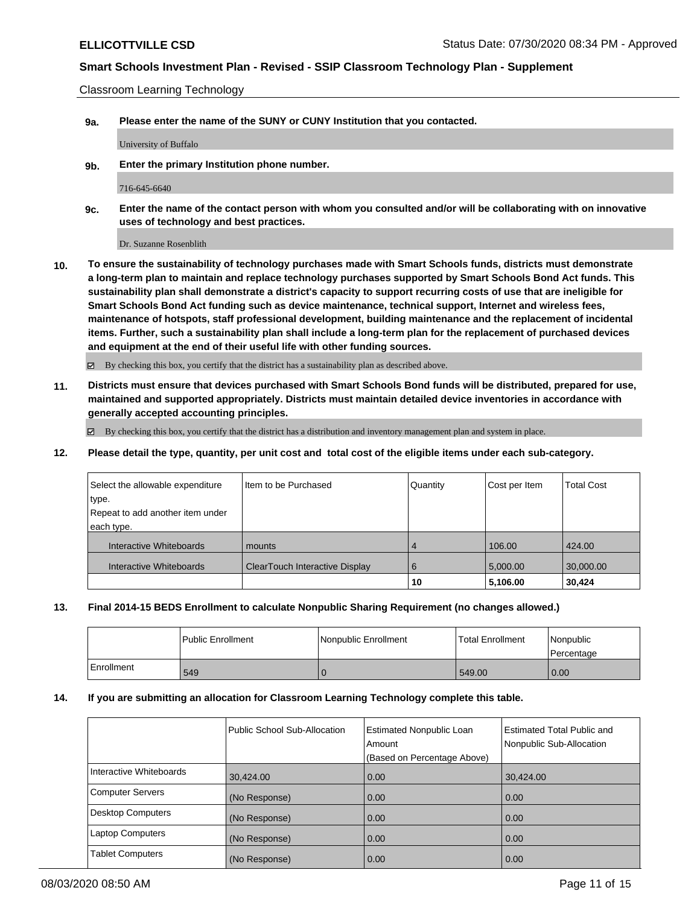Classroom Learning Technology

**9a. Please enter the name of the SUNY or CUNY Institution that you contacted.**

University of Buffalo

**9b. Enter the primary Institution phone number.**

716-645-6640

**9c. Enter the name of the contact person with whom you consulted and/or will be collaborating with on innovative uses of technology and best practices.**

Dr. Suzanne Rosenblith

**10. To ensure the sustainability of technology purchases made with Smart Schools funds, districts must demonstrate a long-term plan to maintain and replace technology purchases supported by Smart Schools Bond Act funds. This sustainability plan shall demonstrate a district's capacity to support recurring costs of use that are ineligible for Smart Schools Bond Act funding such as device maintenance, technical support, Internet and wireless fees, maintenance of hotspots, staff professional development, building maintenance and the replacement of incidental items. Further, such a sustainability plan shall include a long-term plan for the replacement of purchased devices and equipment at the end of their useful life with other funding sources.**

By checking this box, you certify that the district has a sustainability plan as described above.

**11. Districts must ensure that devices purchased with Smart Schools Bond funds will be distributed, prepared for use, maintained and supported appropriately. Districts must maintain detailed device inventories in accordance with generally accepted accounting principles.**

 $\boxtimes$  By checking this box, you certify that the district has a distribution and inventory management plan and system in place.

**12. Please detail the type, quantity, per unit cost and total cost of the eligible items under each sub-category.**

| Select the allowable expenditure | Item to be Purchased           | Quantity | Cost per Item | <b>Total Cost</b> |
|----------------------------------|--------------------------------|----------|---------------|-------------------|
| type.                            |                                |          |               |                   |
| Repeat to add another item under |                                |          |               |                   |
| each type.                       |                                |          |               |                   |
| Interactive Whiteboards          | mounts                         | 4        | 106.00        | 424.00            |
| Interactive Whiteboards          | ClearTouch Interactive Display | 6        | 5,000.00      | 30,000.00         |
|                                  |                                | 10       | 5,106.00      | 30,424            |

### **13. Final 2014-15 BEDS Enrollment to calculate Nonpublic Sharing Requirement (no changes allowed.)**

|            | <b>Public Enrollment</b> | Nonpublic Enrollment | <b>Total Enrollment</b> | Nonpublic<br>Percentage |
|------------|--------------------------|----------------------|-------------------------|-------------------------|
| Enrollment | 549                      |                      | 549.00                  | 0.00                    |

#### **14. If you are submitting an allocation for Classroom Learning Technology complete this table.**

|                         | <b>Public School Sub-Allocation</b> | <b>Estimated Nonpublic Loan</b><br>Amount<br>(Based on Percentage Above) | <b>Estimated Total Public and</b><br>Nonpublic Sub-Allocation |
|-------------------------|-------------------------------------|--------------------------------------------------------------------------|---------------------------------------------------------------|
| Interactive Whiteboards | 30,424.00                           | 0.00                                                                     | 30,424.00                                                     |
| Computer Servers        | (No Response)                       | 0.00                                                                     | 0.00                                                          |
| Desktop Computers       | (No Response)                       | 0.00                                                                     | 0.00                                                          |
| Laptop Computers        | (No Response)                       | 0.00                                                                     | 0.00                                                          |
| Tablet Computers        | (No Response)                       | 0.00                                                                     | 0.00                                                          |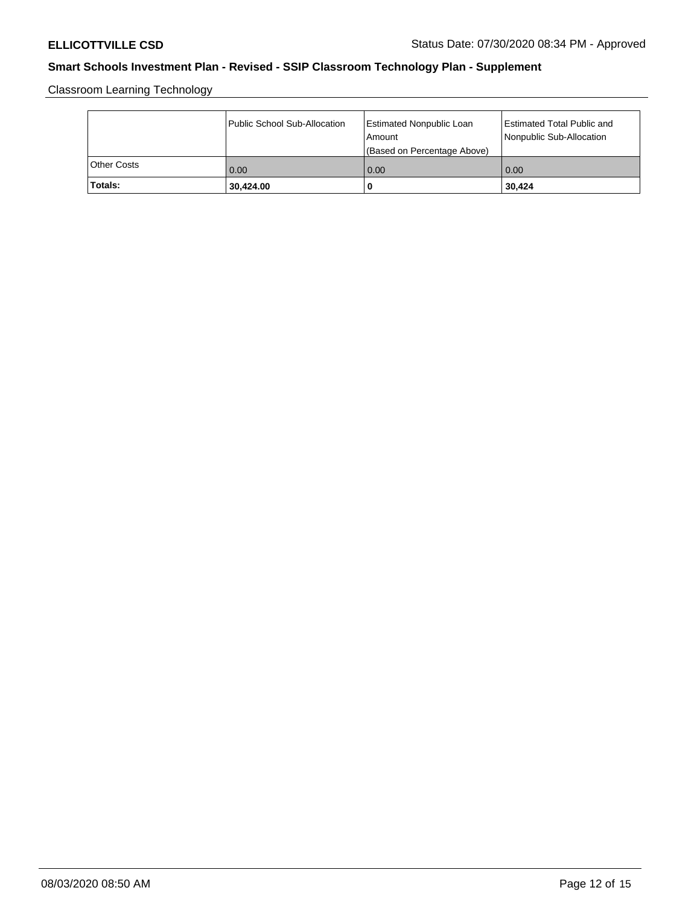Classroom Learning Technology

|             | Public School Sub-Allocation | <b>Estimated Nonpublic Loan</b><br>l Amount<br>(Based on Percentage Above) | Estimated Total Public and<br>Nonpublic Sub-Allocation |
|-------------|------------------------------|----------------------------------------------------------------------------|--------------------------------------------------------|
| Other Costs | 0.00                         | 0.00                                                                       | 0.00                                                   |
| Totals:     | 30,424.00                    | 0                                                                          | 30,424                                                 |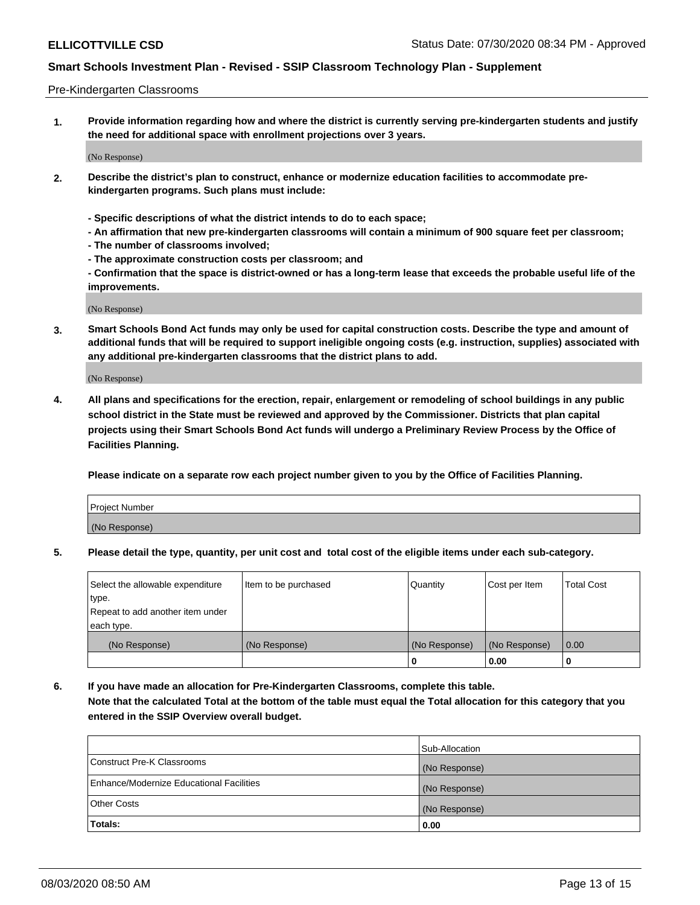#### Pre-Kindergarten Classrooms

**1. Provide information regarding how and where the district is currently serving pre-kindergarten students and justify the need for additional space with enrollment projections over 3 years.**

(No Response)

- **2. Describe the district's plan to construct, enhance or modernize education facilities to accommodate prekindergarten programs. Such plans must include:**
	- **Specific descriptions of what the district intends to do to each space;**
	- **An affirmation that new pre-kindergarten classrooms will contain a minimum of 900 square feet per classroom;**
	- **The number of classrooms involved;**
	- **The approximate construction costs per classroom; and**
	- **Confirmation that the space is district-owned or has a long-term lease that exceeds the probable useful life of the improvements.**

(No Response)

**3. Smart Schools Bond Act funds may only be used for capital construction costs. Describe the type and amount of additional funds that will be required to support ineligible ongoing costs (e.g. instruction, supplies) associated with any additional pre-kindergarten classrooms that the district plans to add.**

(No Response)

**4. All plans and specifications for the erection, repair, enlargement or remodeling of school buildings in any public school district in the State must be reviewed and approved by the Commissioner. Districts that plan capital projects using their Smart Schools Bond Act funds will undergo a Preliminary Review Process by the Office of Facilities Planning.**

**Please indicate on a separate row each project number given to you by the Office of Facilities Planning.**

| Project Number |  |
|----------------|--|
| (No Response)  |  |
|                |  |

**5. Please detail the type, quantity, per unit cost and total cost of the eligible items under each sub-category.**

| Select the allowable expenditure | Item to be purchased | Quantity      | Cost per Item | <b>Total Cost</b> |
|----------------------------------|----------------------|---------------|---------------|-------------------|
| type.                            |                      |               |               |                   |
| Repeat to add another item under |                      |               |               |                   |
| each type.                       |                      |               |               |                   |
| (No Response)                    | (No Response)        | (No Response) | (No Response) | 0.00              |
|                                  |                      | U             | 0.00          |                   |

**6. If you have made an allocation for Pre-Kindergarten Classrooms, complete this table. Note that the calculated Total at the bottom of the table must equal the Total allocation for this category that you entered in the SSIP Overview overall budget.**

| Totals:                                  | 0.00           |
|------------------------------------------|----------------|
| <b>Other Costs</b>                       | (No Response)  |
| Enhance/Modernize Educational Facilities | (No Response)  |
| Construct Pre-K Classrooms               | (No Response)  |
|                                          | Sub-Allocation |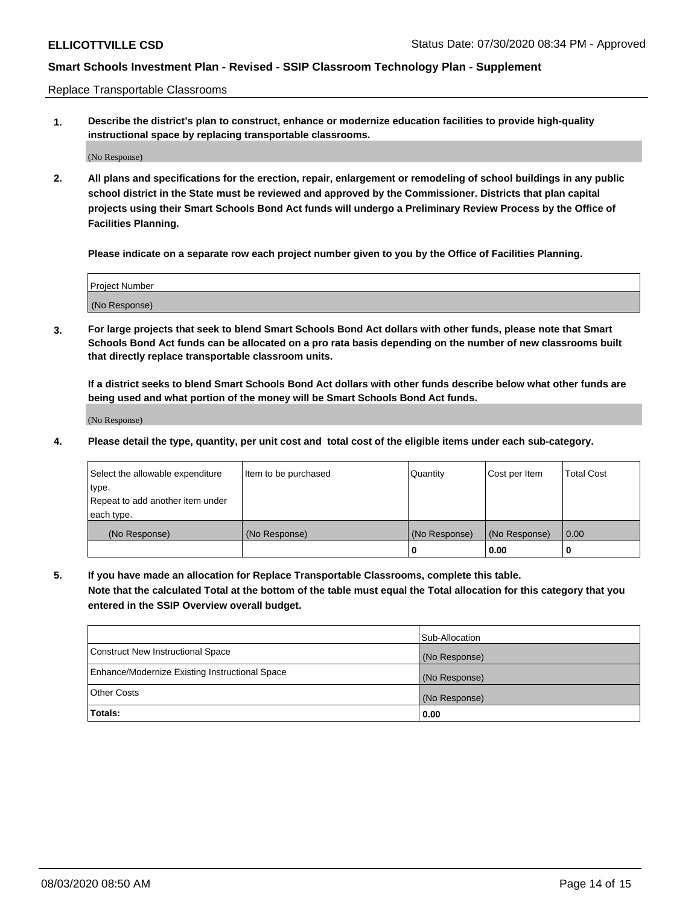Replace Transportable Classrooms

**1. Describe the district's plan to construct, enhance or modernize education facilities to provide high-quality instructional space by replacing transportable classrooms.**

(No Response)

**2. All plans and specifications for the erection, repair, enlargement or remodeling of school buildings in any public school district in the State must be reviewed and approved by the Commissioner. Districts that plan capital projects using their Smart Schools Bond Act funds will undergo a Preliminary Review Process by the Office of Facilities Planning.**

**Please indicate on a separate row each project number given to you by the Office of Facilities Planning.**

| Project Number |  |
|----------------|--|
|                |  |
|                |  |
|                |  |
|                |  |
| (No Response)  |  |
|                |  |
|                |  |
|                |  |

**3. For large projects that seek to blend Smart Schools Bond Act dollars with other funds, please note that Smart Schools Bond Act funds can be allocated on a pro rata basis depending on the number of new classrooms built that directly replace transportable classroom units.**

**If a district seeks to blend Smart Schools Bond Act dollars with other funds describe below what other funds are being used and what portion of the money will be Smart Schools Bond Act funds.**

(No Response)

**4. Please detail the type, quantity, per unit cost and total cost of the eligible items under each sub-category.**

| Select the allowable expenditure | Item to be purchased | Quantity      | Cost per Item | Total Cost |
|----------------------------------|----------------------|---------------|---------------|------------|
| ∣type.                           |                      |               |               |            |
| Repeat to add another item under |                      |               |               |            |
| each type.                       |                      |               |               |            |
| (No Response)                    | (No Response)        | (No Response) | (No Response) | 0.00       |
|                                  |                      | u             | 0.00          |            |

**5. If you have made an allocation for Replace Transportable Classrooms, complete this table. Note that the calculated Total at the bottom of the table must equal the Total allocation for this category that you entered in the SSIP Overview overall budget.**

|                                                | Sub-Allocation |
|------------------------------------------------|----------------|
| Construct New Instructional Space              | (No Response)  |
| Enhance/Modernize Existing Instructional Space | (No Response)  |
| Other Costs                                    | (No Response)  |
| Totals:                                        | 0.00           |